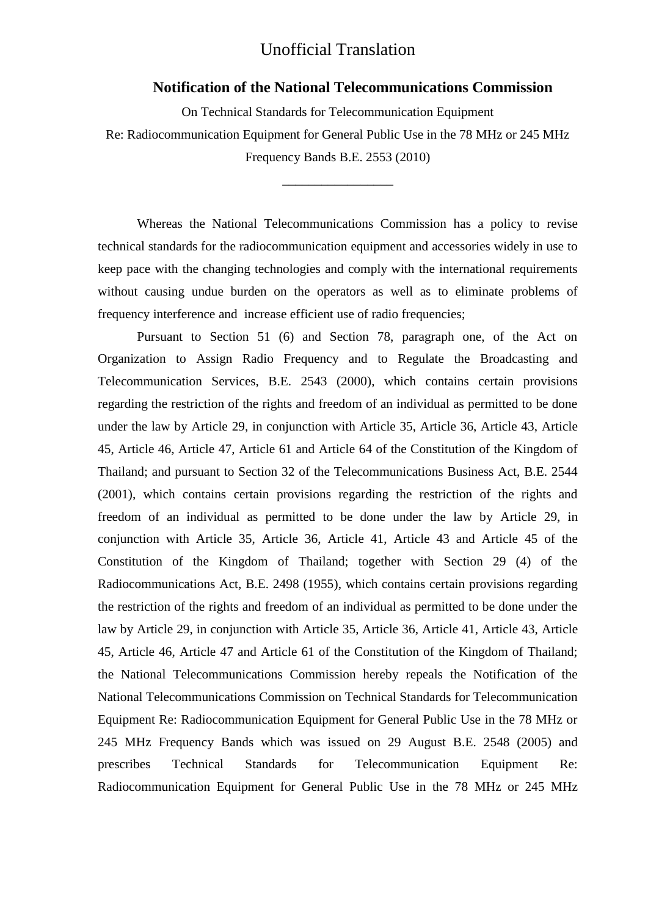# Unofficial Translation

#### **Notification of the National Telecommunications Commission**

On Technical Standards for Telecommunication Equipment Re: Radiocommunication Equipment for General Public Use in the 78 MHz or 245 MHz Frequency Bands B.E. 2553 (2010)

\_\_\_\_\_\_\_\_\_\_\_\_\_\_\_\_\_

Whereas the National Telecommunications Commission has a policy to revise technical standards for the radiocommunication equipment and accessories widely in use to keep pace with the changing technologies and comply with the international requirements without causing undue burden on the operators as well as to eliminate problems of frequency interference and increase efficient use of radio frequencies;

Pursuant to Section 51 (6) and Section 78, paragraph one, of the Act on Organization to Assign Radio Frequency and to Regulate the Broadcasting and Telecommunication Services, B.E. 2543 (2000), which contains certain provisions regarding the restriction of the rights and freedom of an individual as permitted to be done under the law by Article 29, in conjunction with Article 35, Article 36, Article 43, Article 45, Article 46, Article 47, Article 61 and Article 64 of the Constitution of the Kingdom of Thailand; and pursuant to Section 32 of the Telecommunications Business Act, B.E. 2544 (2001), which contains certain provisions regarding the restriction of the rights and freedom of an individual as permitted to be done under the law by Article 29, in conjunction with Article 35, Article 36, Article 41, Article 43 and Article 45 of the Constitution of the Kingdom of Thailand; together with Section 29 (4) of the Radiocommunications Act, B.E. 2498 (1955), which contains certain provisions regarding the restriction of the rights and freedom of an individual as permitted to be done under the law by Article 29, in conjunction with Article 35, Article 36, Article 41, Article 43, Article 45, Article 46, Article 47 and Article 61 of the Constitution of the Kingdom of Thailand; the National Telecommunications Commission hereby repeals the Notification of the National Telecommunications Commission on Technical Standards for Telecommunication Equipment Re: Radiocommunication Equipment for General Public Use in the 78 MHz or 245 MHz Frequency Bands which was issued on 29 August B.E. 2548 (2005) and prescribes Technical Standards for Telecommunication Equipment Re: Radiocommunication Equipment for General Public Use in the 78 MHz or 245 MHz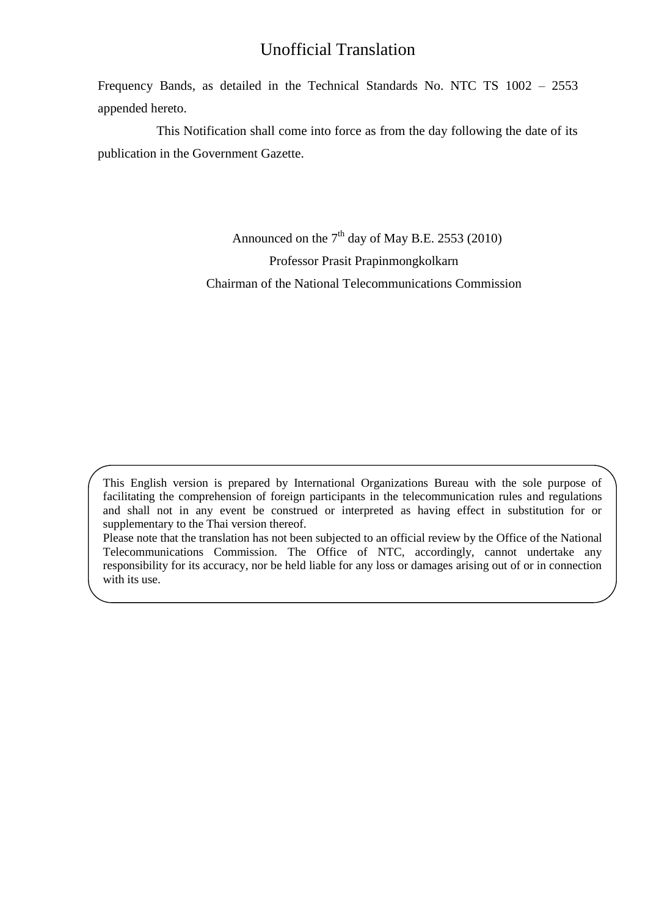# Unofficial Translation

Frequency Bands, as detailed in the Technical Standards No. NTC TS 1002 – 2553 appended hereto.

This Notification shall come into force as from the day following the date of its publication in the Government Gazette.

> Announced on the  $7<sup>th</sup>$  day of May B.E. 2553 (2010) Professor Prasit Prapinmongkolkarn Chairman of the National Telecommunications Commission

This English version is prepared by International Organizations Bureau with the sole purpose of facilitating the comprehension of foreign participants in the telecommunication rules and regulations and shall not in any event be construed or interpreted as having effect in substitution for or supplementary to the Thai version thereof.

Please note that the translation has not been subjected to an official review by the Office of the National Telecommunications Commission. The Office of NTC, accordingly, cannot undertake any responsibility for its accuracy, nor be held liable for any loss or damages arising out of or in connection with its use.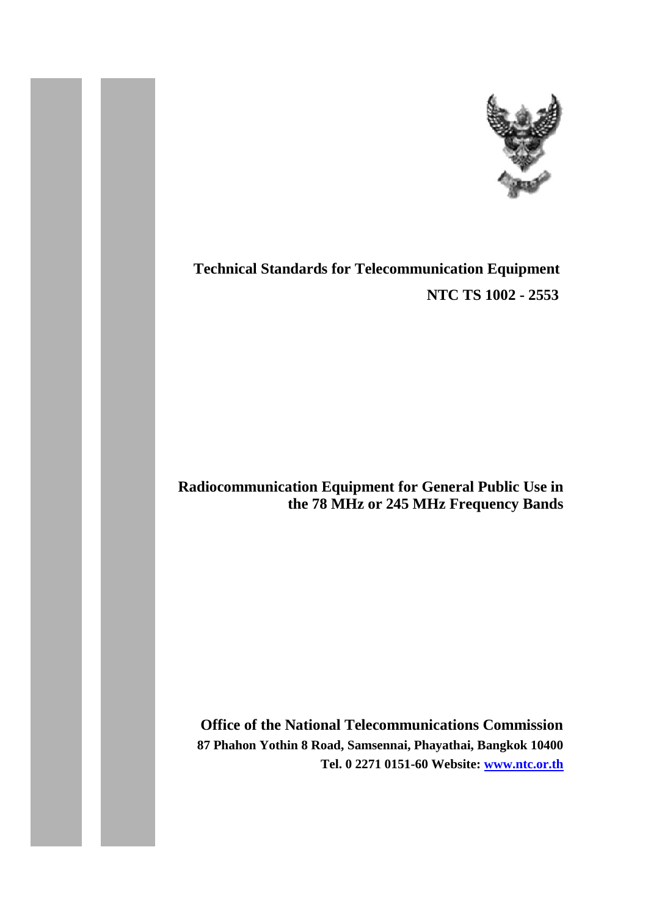

# **Technical Standards for Telecommunication Equipment NTC TS 1002 - 2553**

# **Radiocommunication Equipment for General Public Use in the 78 MHz or 245 MHz Frequency Bands**

**Office of the National Telecommunications Commission 87 Phahon Yothin 8 Road, Samsennai, Phayathai, Bangkok 10400 Tel. 0 2271 0151-60 Website: [www.ntc.or.th](http://www.ntc.or.th/)**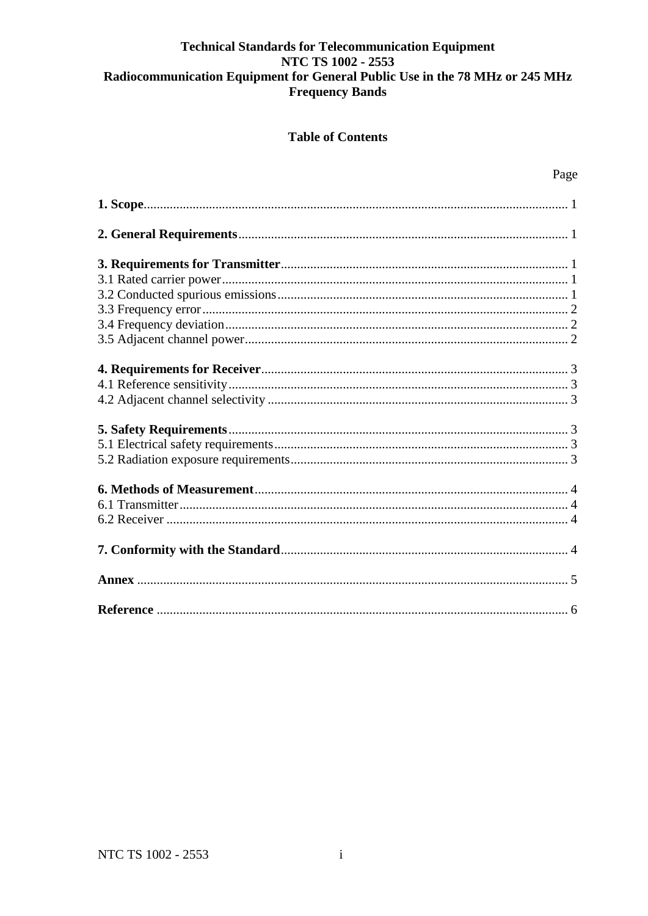# **Table of Contents**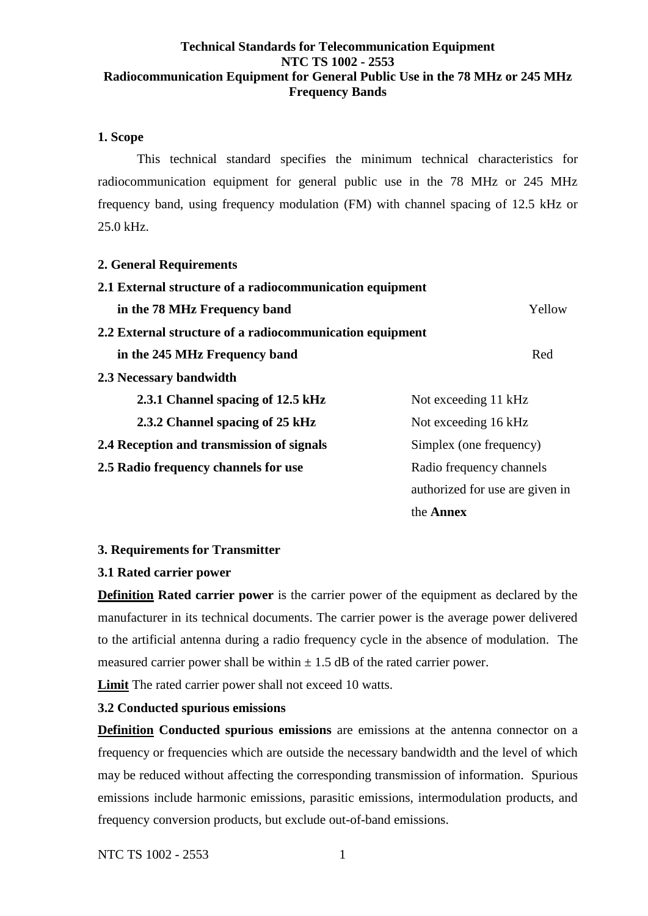### <span id="page-4-0"></span>**1. Scope**

This technical standard specifies the minimum technical characteristics for radiocommunication equipment for general public use in the 78 MHz or 245 MHz frequency band, using frequency modulation (FM) with channel spacing of 12.5 kHz or 25.0 kHz.

#### <span id="page-4-1"></span>**2. General Requirements**

| 2.1 External structure of a radiocommunication equipment |                                 |  |  |
|----------------------------------------------------------|---------------------------------|--|--|
| in the 78 MHz Frequency band                             | Yellow                          |  |  |
| 2.2 External structure of a radiocommunication equipment |                                 |  |  |
| in the 245 MHz Frequency band                            | Red                             |  |  |
| 2.3 Necessary bandwidth                                  |                                 |  |  |
| 2.3.1 Channel spacing of 12.5 kHz                        | Not exceeding 11 kHz            |  |  |
| 2.3.2 Channel spacing of 25 kHz                          | Not exceeding 16 kHz            |  |  |
| 2.4 Reception and transmission of signals                | Simplex (one frequency)         |  |  |
| 2.5 Radio frequency channels for use                     | Radio frequency channels        |  |  |
|                                                          | authorized for use are given in |  |  |
|                                                          | the <b>Annex</b>                |  |  |

#### <span id="page-4-2"></span>**3. Requirements for Transmitter**

#### <span id="page-4-3"></span>**3.1 Rated carrier power**

**Definition Rated carrier power** is the carrier power of the equipment as declared by the manufacturer in its technical documents. The carrier power is the average power delivered to the artificial antenna during a radio frequency cycle in the absence of modulation. The measured carrier power shall be within  $\pm$  1.5 dB of the rated carrier power.

**Limit** The rated carrier power shall not exceed 10 watts.

#### <span id="page-4-4"></span>**3.2 Conducted spurious emissions**

**Definition Conducted spurious emissions** are emissions at the antenna connector on a frequency or frequencies which are outside the necessary bandwidth and the level of which may be reduced without affecting the corresponding transmission of information. Spurious emissions include harmonic emissions, parasitic emissions, intermodulation products, and frequency conversion products, but exclude out-of-band emissions.

NTC TS 1002 - 2553 1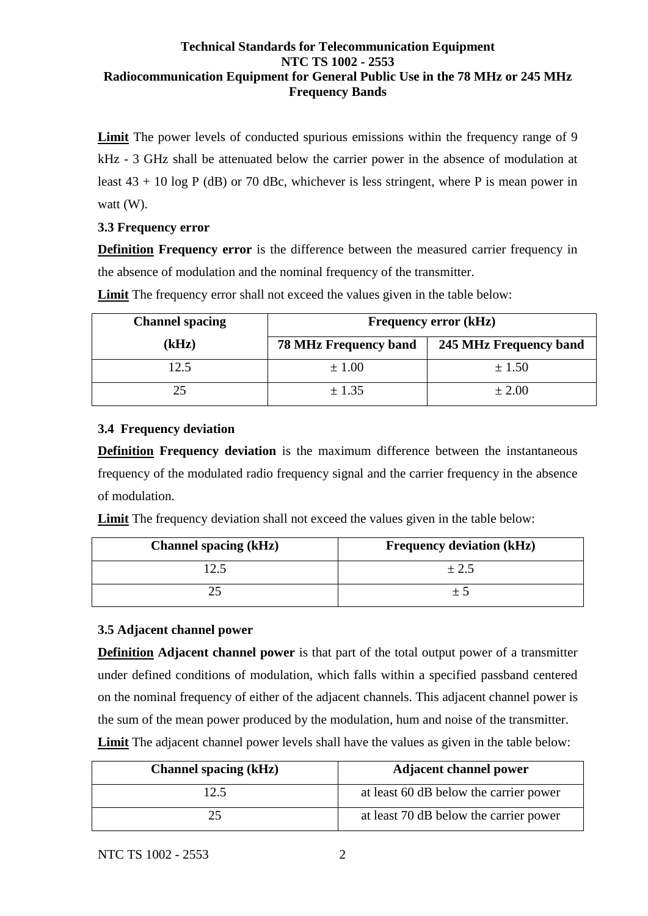Limit The power levels of conducted spurious emissions within the frequency range of 9 kHz - 3 GHz shall be attenuated below the carrier power in the absence of modulation at least  $43 + 10 \log P$  (dB) or 70 dBc, whichever is less stringent, where P is mean power in watt (W).

# <span id="page-5-0"></span>**3.3 Frequency error**

**Definition Frequency error** is the difference between the measured carrier frequency in the absence of modulation and the nominal frequency of the transmitter.

**Limit** The frequency error shall not exceed the values given in the table below:

| <b>Channel spacing</b> | <b>Frequency error (kHz)</b> |                        |  |  |
|------------------------|------------------------------|------------------------|--|--|
| (kHz)                  | <b>78 MHz Frequency band</b> | 245 MHz Frequency band |  |  |
| 12.5                   | $\pm 1.00$                   | ± 1.50                 |  |  |
| 25                     | ± 1.35                       | ± 2.00                 |  |  |

# <span id="page-5-1"></span>**3.4 Frequency deviation**

**Definition Frequency deviation** is the maximum difference between the instantaneous frequency of the modulated radio frequency signal and the carrier frequency in the absence of modulation.

**Limit** The frequency deviation shall not exceed the values given in the table below:

| <b>Channel spacing (kHz)</b> | <b>Frequency deviation (kHz)</b> |  |  |
|------------------------------|----------------------------------|--|--|
|                              | $\pm 2.5$                        |  |  |
|                              |                                  |  |  |

# <span id="page-5-2"></span>**3.5 Adjacent channel power**

**Definition Adjacent channel power** is that part of the total output power of a transmitter under defined conditions of modulation, which falls within a specified passband centered on the nominal frequency of either of the adjacent channels. This adjacent channel power is the sum of the mean power produced by the modulation, hum and noise of the transmitter. **Limit** The adjacent channel power levels shall have the values as given in the table below:

| <b>Channel spacing (kHz)</b> | <b>Adjacent channel power</b>          |  |  |
|------------------------------|----------------------------------------|--|--|
| 12.5                         | at least 60 dB below the carrier power |  |  |
| 25                           | at least 70 dB below the carrier power |  |  |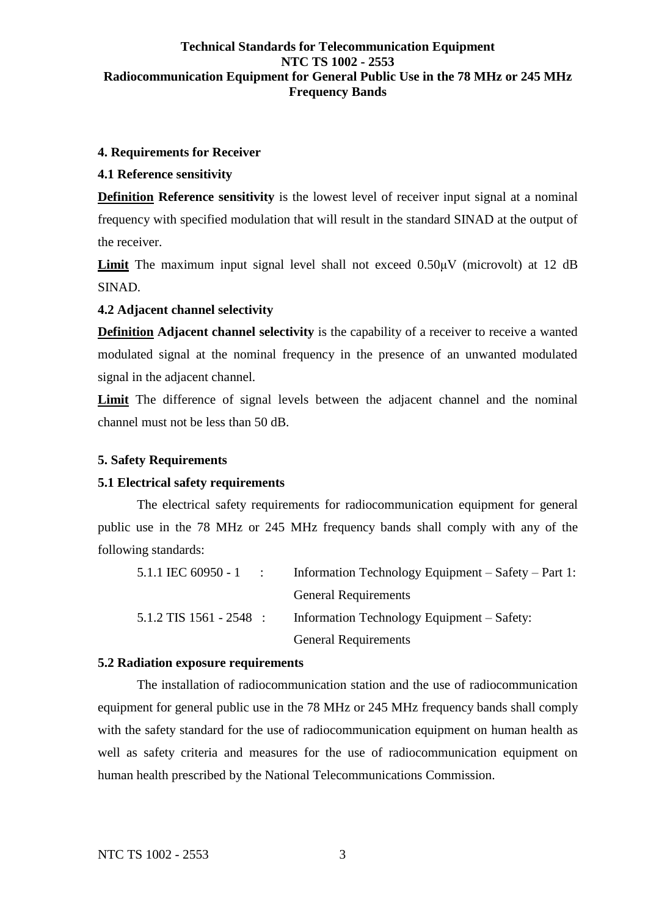# <span id="page-6-0"></span>**4. Requirements for Receiver**

# <span id="page-6-1"></span>**4.1 Reference sensitivity**

**Definition Reference sensitivity** is the lowest level of receiver input signal at a nominal frequency with specified modulation that will result in the standard SINAD at the output of the receiver.

Limit The maximum input signal level shall not exceed  $0.50\mu$ V (microvolt) at 12 dB SINAD.

### <span id="page-6-2"></span>**4.2 Adjacent channel selectivity**

**Definition Adjacent channel selectivity** is the capability of a receiver to receive a wanted modulated signal at the nominal frequency in the presence of an unwanted modulated signal in the adjacent channel.

**Limit** The difference of signal levels between the adjacent channel and the nominal channel must not be less than 50 dB.

#### <span id="page-6-3"></span>**5. Safety Requirements**

#### <span id="page-6-4"></span>**5.1 Electrical safety requirements**

The electrical safety requirements for radiocommunication equipment for general public use in the 78 MHz or 245 MHz frequency bands shall comply with any of the following standards:

|                           | 5.1.1 IEC 60950 - 1 : Information Technology Equipment – Safety – Part 1: |
|---------------------------|---------------------------------------------------------------------------|
|                           | <b>General Requirements</b>                                               |
| $5.1.2$ TIS 1561 - 2548 : | Information Technology Equipment – Safety:                                |
|                           | <b>General Requirements</b>                                               |

#### <span id="page-6-5"></span>**5.2 Radiation exposure requirements**

The installation of radiocommunication station and the use of radiocommunication equipment for general public use in the 78 MHz or 245 MHz frequency bands shall comply with the safety standard for the use of radiocommunication equipment on human health as well as safety criteria and measures for the use of radiocommunication equipment on human health prescribed by the National Telecommunications Commission.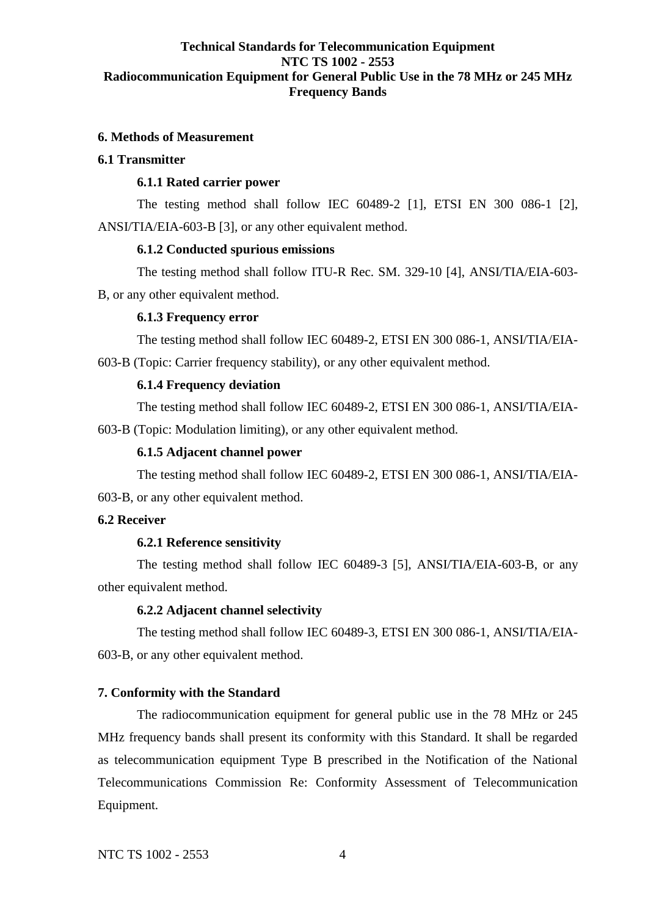#### <span id="page-7-0"></span>**6. Methods of Measurement**

#### <span id="page-7-1"></span>**6.1 Transmitter**

#### **6.1.1 Rated carrier power**

The testing method shall follow IEC 60489-2 [1], ETSI EN 300 086-1 [2], ANSI/TIA/EIA-603-B [3], or any other equivalent method.

#### **6.1.2 Conducted spurious emissions**

The testing method shall follow ITU-R Rec. SM. 329-10 [4], ANSI/TIA/EIA-603- B, or any other equivalent method.

#### **6.1.3 Frequency error**

The testing method shall follow IEC 60489-2, ETSI EN 300 086-1, ANSI/TIA/EIA-603-B (Topic: Carrier frequency stability), or any other equivalent method.

#### **6.1.4 Frequency deviation**

The testing method shall follow IEC 60489-2, ETSI EN 300 086-1, ANSI/TIA/EIA-603-B (Topic: Modulation limiting), or any other equivalent method.

#### **6.1.5 Adjacent channel power**

The testing method shall follow IEC 60489-2, ETSI EN 300 086-1, ANSI/TIA/EIA-603-B, or any other equivalent method.

#### <span id="page-7-2"></span>**6.2 Receiver**

#### **6.2.1 Reference sensitivity**

The testing method shall follow IEC 60489-3 [5], ANSI/TIA/EIA-603-B, or any other equivalent method.

#### **6.2.2 Adjacent channel selectivity**

The testing method shall follow IEC 60489-3, ETSI EN 300 086-1, ANSI/TIA/EIA-603-B, or any other equivalent method.

#### <span id="page-7-3"></span>**7. Conformity with the Standard**

The radiocommunication equipment for general public use in the 78 MHz or 245 MHz frequency bands shall present its conformity with this Standard. It shall be regarded as telecommunication equipment Type B prescribed in the Notification of the National Telecommunications Commission Re: Conformity Assessment of Telecommunication Equipment.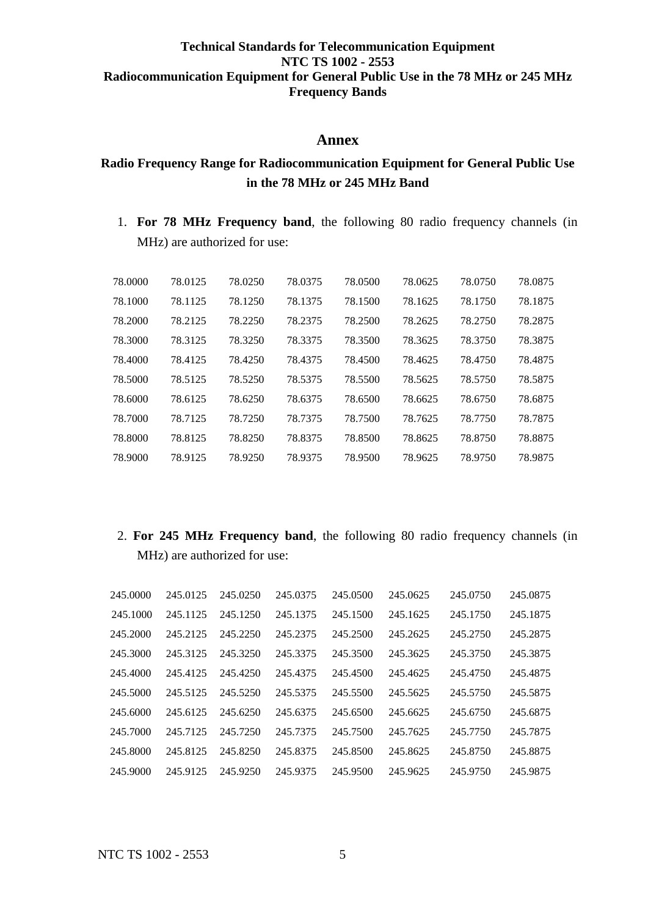# **Annex**

# <span id="page-8-0"></span>**Radio Frequency Range for Radiocommunication Equipment for General Public Use in the 78 MHz or 245 MHz Band**

1. **For 78 MHz Frequency band**, the following 80 radio frequency channels (in MHz) are authorized for use:

| 78,0000 | 78.0125 | 78.0250 | 78.0375 | 78.0500 | 78.0625 | 78.0750 | 78.0875 |
|---------|---------|---------|---------|---------|---------|---------|---------|
| 78.1000 | 78.1125 | 78.1250 | 78.1375 | 78.1500 | 78.1625 | 78.1750 | 78.1875 |
| 78.2000 | 78.2125 | 78.2250 | 78.2375 | 78.2500 | 78.2625 | 78.2750 | 78.2875 |
| 78.3000 | 78.3125 | 78.3250 | 78.3375 | 78.3500 | 78.3625 | 78.3750 | 78.3875 |
| 78.4000 | 78.4125 | 78.4250 | 78.4375 | 78.4500 | 78.4625 | 78.4750 | 78.4875 |
| 78.5000 | 78.5125 | 78.5250 | 78.5375 | 78.5500 | 78.5625 | 78.5750 | 78.5875 |
| 78.6000 | 78.6125 | 78.6250 | 78.6375 | 78.6500 | 78.6625 | 78.6750 | 78.6875 |
| 78.7000 | 78.7125 | 78.7250 | 78.7375 | 78.7500 | 78.7625 | 78.7750 | 78.7875 |
| 78.8000 | 78.8125 | 78.8250 | 78.8375 | 78.8500 | 78.8625 | 78.8750 | 78.8875 |
| 78.9000 | 78.9125 | 78.9250 | 78.9375 | 78.9500 | 78.9625 | 78.9750 | 78.9875 |

# 2. **For 245 MHz Frequency band**, the following 80 radio frequency channels (in MHz) are authorized for use:

| 245.0000 | 245.0125 | 245.0250 | 245.0375 | 245.0500 | 245.0625 | 245.0750 | 245.0875 |
|----------|----------|----------|----------|----------|----------|----------|----------|
| 245.1000 | 245.1125 | 245.1250 | 245.1375 | 245.1500 | 245.1625 | 245.1750 | 245.1875 |
| 245.2000 | 245.2125 | 245.2250 | 245.2375 | 245.2500 | 245.2625 | 245.2750 | 245.2875 |
| 245.3000 | 245.3125 | 245.3250 | 245.3375 | 245.3500 | 245.3625 | 245.3750 | 245.3875 |
| 245.4000 | 245.4125 | 245.4250 | 245.4375 | 245.4500 | 245.4625 | 245.4750 | 245.4875 |
| 245.5000 | 245.5125 | 245.5250 | 245.5375 | 245.5500 | 245.5625 | 245,5750 | 245.5875 |
| 245.6000 | 245.6125 | 245.6250 | 245.6375 | 245.6500 | 245.6625 | 245.6750 | 245.6875 |
| 245.7000 | 245.7125 | 245.7250 | 245,7375 | 245.7500 | 245.7625 | 245,7750 | 245.7875 |
| 245.8000 | 245.8125 | 245.8250 | 245.8375 | 245.8500 | 245.8625 | 245.8750 | 245.8875 |
| 245.9000 | 245.9125 | 245.9250 | 245.9375 | 245.9500 | 245.9625 | 245,9750 | 245.9875 |